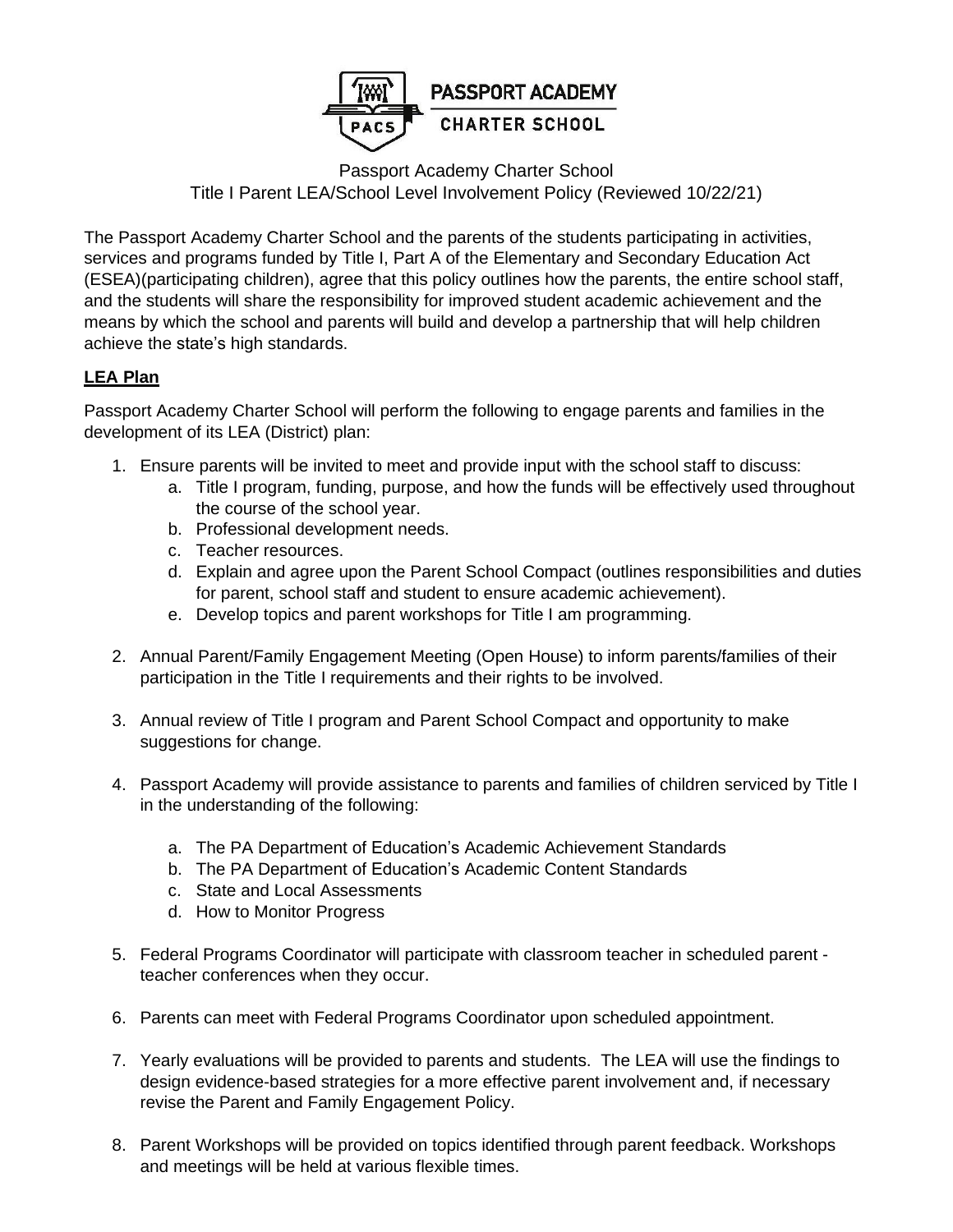

## Passport Academy Charter School Title I Parent LEA/School Level Involvement Policy (Reviewed 10/22/21)

The Passport Academy Charter School and the parents of the students participating in activities, services and programs funded by Title I, Part A of the Elementary and Secondary Education Act (ESEA)(participating children), agree that this policy outlines how the parents, the entire school staff, and the students will share the responsibility for improved student academic achievement and the means by which the school and parents will build and develop a partnership that will help children achieve the state's high standards.

## **LEA Plan**

Passport Academy Charter School will perform the following to engage parents and families in the development of its LEA (District) plan:

- 1. Ensure parents will be invited to meet and provide input with the school staff to discuss:
	- a. Title I program, funding, purpose, and how the funds will be effectively used throughout the course of the school year.
	- b. Professional development needs.
	- c. Teacher resources.
	- d. Explain and agree upon the Parent School Compact (outlines responsibilities and duties for parent, school staff and student to ensure academic achievement).
	- e. Develop topics and parent workshops for Title I am programming.
- 2. Annual Parent/Family Engagement Meeting (Open House) to inform parents/families of their participation in the Title I requirements and their rights to be involved.
- 3. Annual review of Title I program and Parent School Compact and opportunity to make suggestions for change.
- 4. Passport Academy will provide assistance to parents and families of children serviced by Title I in the understanding of the following:
	- a. The PA Department of Education's Academic Achievement Standards
	- b. The PA Department of Education's Academic Content Standards
	- c. State and Local Assessments
	- d. How to Monitor Progress
- 5. Federal Programs Coordinator will participate with classroom teacher in scheduled parent teacher conferences when they occur.
- 6. Parents can meet with Federal Programs Coordinator upon scheduled appointment.
- 7. Yearly evaluations will be provided to parents and students. The LEA will use the findings to design evidence-based strategies for a more effective parent involvement and, if necessary revise the Parent and Family Engagement Policy.
- 8. Parent Workshops will be provided on topics identified through parent feedback. Workshops and meetings will be held at various flexible times.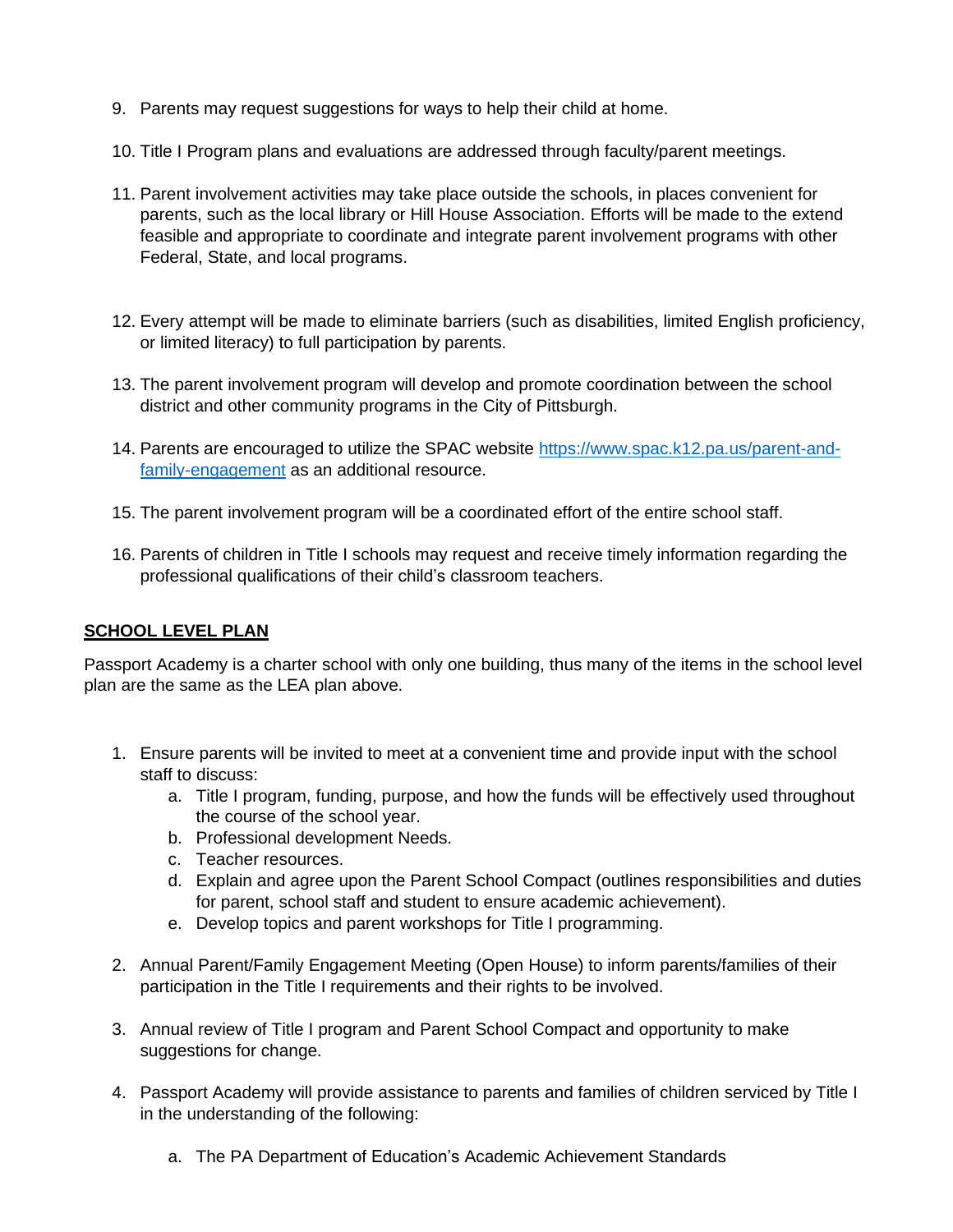- 9. Parents may request suggestions for ways to help their child at home.
- 10. Title I Program plans and evaluations are addressed through faculty/parent meetings.
- 11. Parent involvement activities may take place outside the schools, in places convenient for parents, such as the local library or Hill House Association. Efforts will be made to the extend feasible and appropriate to coordinate and integrate parent involvement programs with other Federal, State, and local programs.
- 12. Every attempt will be made to eliminate barriers (such as disabilities, limited English proficiency, or limited literacy) to full participation by parents.
- 13. The parent involvement program will develop and promote coordination between the school district and other community programs in the City of Pittsburgh.
- 14. Parents are encouraged to utilize the SPAC website [https://www.spac.k12.pa.us/parent-and](https://www.spac.k12.pa.us/parent-and-family-engagement)[family-engagement](https://www.spac.k12.pa.us/parent-and-family-engagement) as an additional resource.
- 15. The parent involvement program will be a coordinated effort of the entire school staff.
- 16. Parents of children in Title I schools may request and receive timely information regarding the professional qualifications of their child's classroom teachers.

## **SCHOOL LEVEL PLAN**

Passport Academy is a charter school with only one building, thus many of the items in the school level plan are the same as the LEA plan above.

- 1. Ensure parents will be invited to meet at a convenient time and provide input with the school staff to discuss:
	- a. Title I program, funding, purpose, and how the funds will be effectively used throughout the course of the school year.
	- b. Professional development Needs.
	- c. Teacher resources.
	- d. Explain and agree upon the Parent School Compact (outlines responsibilities and duties for parent, school staff and student to ensure academic achievement).
	- e. Develop topics and parent workshops for Title I programming.
- 2. Annual Parent/Family Engagement Meeting (Open House) to inform parents/families of their participation in the Title I requirements and their rights to be involved.
- 3. Annual review of Title I program and Parent School Compact and opportunity to make suggestions for change.
- 4. Passport Academy will provide assistance to parents and families of children serviced by Title I in the understanding of the following:
	- a. The PA Department of Education's Academic Achievement Standards